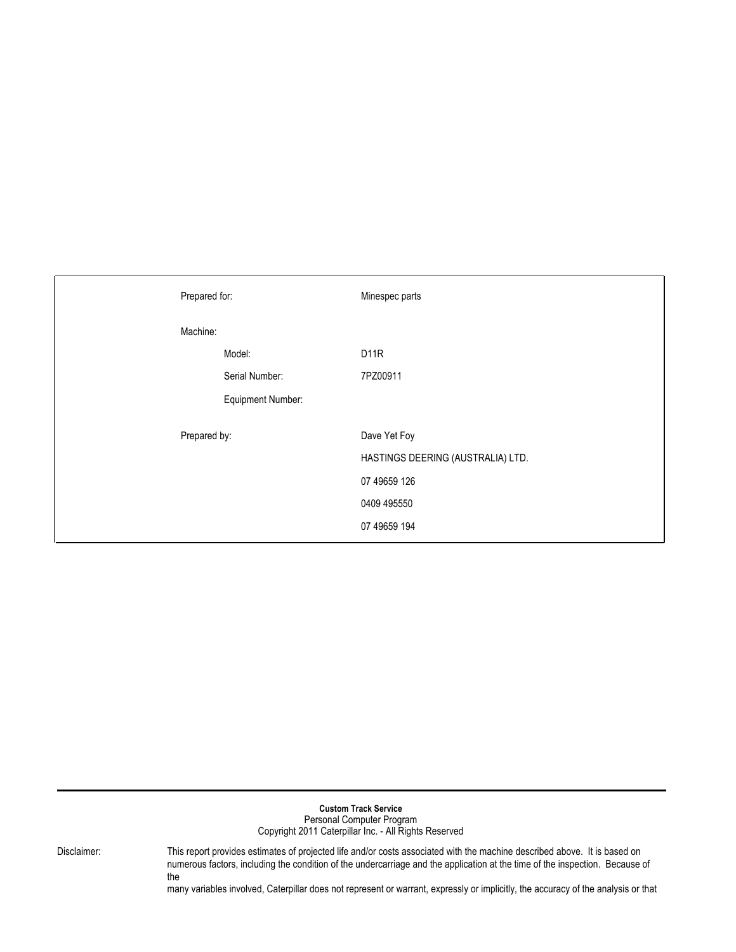| <b>Custom Track Service</b><br>Personal Computer Program<br>Copyright 2011 Caterpillar Inc. - All Rights Reserved |                                                                                                                                                                                                                                                                                                                                                                                                       |  |  |  |  |  |  |
|-------------------------------------------------------------------------------------------------------------------|-------------------------------------------------------------------------------------------------------------------------------------------------------------------------------------------------------------------------------------------------------------------------------------------------------------------------------------------------------------------------------------------------------|--|--|--|--|--|--|
| Disclaimer:                                                                                                       | This report provides estimates of projected life and/or costs associated with the machine described above. It is based on<br>numerous factors, including the condition of the undercarriage and the application at the time of the inspection. Because of<br>the<br>many variables involved, Caterpillar does not represent or warrant, expressly or implicitly, the accuracy of the analysis or that |  |  |  |  |  |  |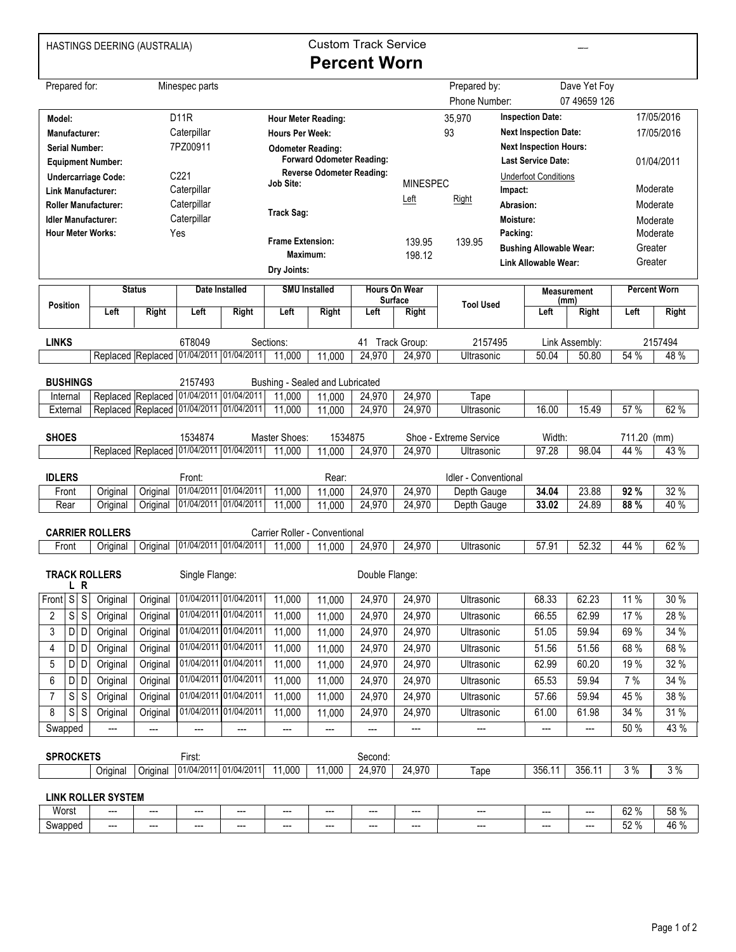HASTINGS DEERING (AUSTRALIA)

## Custom Track Service **Percent Worn**

 $\frac{1}{2}$ 

| Dave Yet Foy<br>Prepared for:<br>Prepared by:<br>Minespec parts<br>07 49659 126<br>Phone Number:<br><b>Inspection Date:</b><br><b>D11R</b><br>35,970<br>Model:<br><b>Hour Meter Reading:</b><br>93<br><b>Next Inspection Date:</b><br>Caterpillar<br><b>Manufacturer:</b><br><b>Hours Per Week:</b><br>7PZ00911<br><b>Next Inspection Hours:</b><br><b>Serial Number:</b><br><b>Odometer Reading:</b><br><b>Forward Odometer Reading:</b><br><b>Last Service Date:</b><br><b>Equipment Number:</b><br><b>Reverse Odometer Reading:</b><br>C221<br><b>Underfoot Conditions</b><br><b>Undercarriage Code:</b><br><b>MINESPEC</b><br><b>Job Site:</b><br>Caterpillar<br>Impact:<br><b>Link Manufacturer:</b><br>Left<br>Right<br>Caterpillar<br><b>Roller Manufacturer:</b><br>Abrasion: |                     |            |  |  |  |  |  |  |  |  |
|---------------------------------------------------------------------------------------------------------------------------------------------------------------------------------------------------------------------------------------------------------------------------------------------------------------------------------------------------------------------------------------------------------------------------------------------------------------------------------------------------------------------------------------------------------------------------------------------------------------------------------------------------------------------------------------------------------------------------------------------------------------------------------------|---------------------|------------|--|--|--|--|--|--|--|--|
|                                                                                                                                                                                                                                                                                                                                                                                                                                                                                                                                                                                                                                                                                                                                                                                       |                     |            |  |  |  |  |  |  |  |  |
|                                                                                                                                                                                                                                                                                                                                                                                                                                                                                                                                                                                                                                                                                                                                                                                       |                     |            |  |  |  |  |  |  |  |  |
|                                                                                                                                                                                                                                                                                                                                                                                                                                                                                                                                                                                                                                                                                                                                                                                       |                     | 17/05/2016 |  |  |  |  |  |  |  |  |
|                                                                                                                                                                                                                                                                                                                                                                                                                                                                                                                                                                                                                                                                                                                                                                                       |                     | 17/05/2016 |  |  |  |  |  |  |  |  |
|                                                                                                                                                                                                                                                                                                                                                                                                                                                                                                                                                                                                                                                                                                                                                                                       |                     |            |  |  |  |  |  |  |  |  |
|                                                                                                                                                                                                                                                                                                                                                                                                                                                                                                                                                                                                                                                                                                                                                                                       |                     | 01/04/2011 |  |  |  |  |  |  |  |  |
|                                                                                                                                                                                                                                                                                                                                                                                                                                                                                                                                                                                                                                                                                                                                                                                       |                     |            |  |  |  |  |  |  |  |  |
|                                                                                                                                                                                                                                                                                                                                                                                                                                                                                                                                                                                                                                                                                                                                                                                       |                     | Moderate   |  |  |  |  |  |  |  |  |
| <b>Track Sag:</b>                                                                                                                                                                                                                                                                                                                                                                                                                                                                                                                                                                                                                                                                                                                                                                     |                     | Moderate   |  |  |  |  |  |  |  |  |
| Caterpillar<br><b>Idler Manufacturer:</b><br>Moisture:                                                                                                                                                                                                                                                                                                                                                                                                                                                                                                                                                                                                                                                                                                                                |                     | Moderate   |  |  |  |  |  |  |  |  |
| <b>Hour Meter Works:</b><br>Packing:<br>Yes<br><b>Frame Extension:</b><br>139.95<br>139.95                                                                                                                                                                                                                                                                                                                                                                                                                                                                                                                                                                                                                                                                                            |                     | Moderate   |  |  |  |  |  |  |  |  |
| <b>Bushing Allowable Wear:</b><br>Maximum:<br>198.12                                                                                                                                                                                                                                                                                                                                                                                                                                                                                                                                                                                                                                                                                                                                  | Greater             |            |  |  |  |  |  |  |  |  |
| Greater<br><b>Link Allowable Wear:</b><br>Dry Joints:                                                                                                                                                                                                                                                                                                                                                                                                                                                                                                                                                                                                                                                                                                                                 |                     |            |  |  |  |  |  |  |  |  |
| <b>Status</b><br><b>Hours On Wear</b><br>Date Installed<br><b>SMU Installed</b><br><b>Measurement</b>                                                                                                                                                                                                                                                                                                                                                                                                                                                                                                                                                                                                                                                                                 | <b>Percent Worn</b> |            |  |  |  |  |  |  |  |  |
| Surface<br>(mm)<br><b>Tool Used</b><br><b>Position</b>                                                                                                                                                                                                                                                                                                                                                                                                                                                                                                                                                                                                                                                                                                                                |                     |            |  |  |  |  |  |  |  |  |
| Left<br>Right<br>Right<br>Left<br><b>Right</b><br>Left<br>Left<br>Right<br>Left<br>Right                                                                                                                                                                                                                                                                                                                                                                                                                                                                                                                                                                                                                                                                                              | Left                | Right      |  |  |  |  |  |  |  |  |
| <b>LINKS</b><br>6T8049<br>Sections:<br>Track Group:<br>2157495<br>Link Assembly:<br>41                                                                                                                                                                                                                                                                                                                                                                                                                                                                                                                                                                                                                                                                                                |                     | 2157494    |  |  |  |  |  |  |  |  |
| Replaced Replaced 01/04/2011 01/04/2011<br>11,000<br>11,000<br>24,970<br>24,970<br>50.04<br>Ultrasonic<br>50.80                                                                                                                                                                                                                                                                                                                                                                                                                                                                                                                                                                                                                                                                       | 54 %                | 48 %       |  |  |  |  |  |  |  |  |
|                                                                                                                                                                                                                                                                                                                                                                                                                                                                                                                                                                                                                                                                                                                                                                                       |                     |            |  |  |  |  |  |  |  |  |
| <b>BUSHINGS</b><br>2157493<br>Bushing - Sealed and Lubricated<br>01/04/2011 01/04/2011                                                                                                                                                                                                                                                                                                                                                                                                                                                                                                                                                                                                                                                                                                |                     |            |  |  |  |  |  |  |  |  |
| Replaced Replaced<br>11,000<br>24,970<br>24,970<br>11,000<br>Tape<br>Internal<br>Replaced Replaced 01/04/2011 01/04/2011<br>11,000<br>24,970<br>24,970<br>16.00<br>15.49                                                                                                                                                                                                                                                                                                                                                                                                                                                                                                                                                                                                              | 57 %                | 62 %       |  |  |  |  |  |  |  |  |
| 11,000<br>External<br>Ultrasonic                                                                                                                                                                                                                                                                                                                                                                                                                                                                                                                                                                                                                                                                                                                                                      |                     |            |  |  |  |  |  |  |  |  |
| Master Shoes:<br><b>SHOES</b><br>1534874<br>1534875<br>Shoe - Extreme Service<br>Width:                                                                                                                                                                                                                                                                                                                                                                                                                                                                                                                                                                                                                                                                                               | 711.20 (mm)         |            |  |  |  |  |  |  |  |  |
| Replaced Replaced 01/04/2011 01/04/2011<br>97.28<br>11,000<br>11,000<br>24,970<br>98.04<br>24,970<br>Ultrasonic                                                                                                                                                                                                                                                                                                                                                                                                                                                                                                                                                                                                                                                                       | 44 %                | 43 %       |  |  |  |  |  |  |  |  |
|                                                                                                                                                                                                                                                                                                                                                                                                                                                                                                                                                                                                                                                                                                                                                                                       |                     |            |  |  |  |  |  |  |  |  |
| <b>IDLERS</b><br>Idler - Conventional<br>Front:<br>Rear:                                                                                                                                                                                                                                                                                                                                                                                                                                                                                                                                                                                                                                                                                                                              |                     |            |  |  |  |  |  |  |  |  |
| 01/04/2011 01/04/2011<br>11,000<br>24,970<br>24,970<br>23.88<br>Depth Gauge<br>34.04<br>Original<br>Original<br>11,000<br>Front                                                                                                                                                                                                                                                                                                                                                                                                                                                                                                                                                                                                                                                       | 92 %                | 32 %       |  |  |  |  |  |  |  |  |
| 01/04/2011 01/04/2011<br>24,970<br>24,970<br>33.02<br>24.89<br>Rear<br>Original<br>11,000<br>11,000<br>Depth Gauge<br>Original                                                                                                                                                                                                                                                                                                                                                                                                                                                                                                                                                                                                                                                        | 88 %                | 40 %       |  |  |  |  |  |  |  |  |
| <b>CARRIER ROLLERS</b><br>Carrier Roller - Conventional                                                                                                                                                                                                                                                                                                                                                                                                                                                                                                                                                                                                                                                                                                                               |                     |            |  |  |  |  |  |  |  |  |
| 01/04/2011 01/04/2011<br>24,970<br>52.32<br>11,000<br>24,970<br>Ultrasonic<br>57.91<br>Front<br>Original<br>11,000<br>Original                                                                                                                                                                                                                                                                                                                                                                                                                                                                                                                                                                                                                                                        | 44 %                | 62 %       |  |  |  |  |  |  |  |  |
|                                                                                                                                                                                                                                                                                                                                                                                                                                                                                                                                                                                                                                                                                                                                                                                       |                     |            |  |  |  |  |  |  |  |  |
| <b>TRACK ROLLERS</b>                                                                                                                                                                                                                                                                                                                                                                                                                                                                                                                                                                                                                                                                                                                                                                  |                     |            |  |  |  |  |  |  |  |  |
| Single Flange:<br>Double Flange:                                                                                                                                                                                                                                                                                                                                                                                                                                                                                                                                                                                                                                                                                                                                                      |                     |            |  |  |  |  |  |  |  |  |
| L R                                                                                                                                                                                                                                                                                                                                                                                                                                                                                                                                                                                                                                                                                                                                                                                   | 11 %                | 30 %       |  |  |  |  |  |  |  |  |
| 01/04/2011 01/04/2011<br>Front S<br>S<br>62.23<br>11,000<br>68.33<br>Original<br>11,000<br>24,970<br>24,970<br>Original<br>Ultrasonic                                                                                                                                                                                                                                                                                                                                                                                                                                                                                                                                                                                                                                                 |                     |            |  |  |  |  |  |  |  |  |
| 01/04/2011 01/04/2011<br>S<br>$\mathsf S$<br>Original<br>11,000<br>24,970<br>24,970<br>Original<br>11,000<br>62.99<br>66.55<br>Ultrasonic<br>2                                                                                                                                                                                                                                                                                                                                                                                                                                                                                                                                                                                                                                        | 17 %                | 28 %       |  |  |  |  |  |  |  |  |
| 3<br>01/04/2011 01/04/2011<br>D D<br>Original<br>11,000<br>24,970<br>51.05<br>59.94<br>Original<br>24,970<br>Ultrasonic<br>11,000                                                                                                                                                                                                                                                                                                                                                                                                                                                                                                                                                                                                                                                     | 69%                 | 34 %       |  |  |  |  |  |  |  |  |
| 01/04/2011 01/04/2011<br>4<br>Original<br>Original<br>11,000<br>51.56<br>D D<br>24,970<br>24,970<br>Ultrasonic<br>51.56<br>11,000                                                                                                                                                                                                                                                                                                                                                                                                                                                                                                                                                                                                                                                     | 68 %                | 68 %       |  |  |  |  |  |  |  |  |
| 01/04/2011 01/04/2011<br>11,000<br>62.99<br>5<br>D D<br>Original<br>Original<br>24,970<br>24,970<br>Ultrasonic<br>60.20<br>11,000                                                                                                                                                                                                                                                                                                                                                                                                                                                                                                                                                                                                                                                     | 19 %                | 32 %       |  |  |  |  |  |  |  |  |
| 01/04/2011 01/04/2011<br>D D<br>Original<br>11,000<br>24,970<br>24,970<br>65.53<br>59.94<br>6<br>Original<br>11,000<br>Ultrasonic                                                                                                                                                                                                                                                                                                                                                                                                                                                                                                                                                                                                                                                     | 7 %                 | 34 %       |  |  |  |  |  |  |  |  |
| 01/04/2011 01/04/2011<br>s s<br>11,000<br>24,970<br>57.66<br>59.94<br>Original<br>Original<br>11,000<br>24,970<br>Ultrasonic<br>7                                                                                                                                                                                                                                                                                                                                                                                                                                                                                                                                                                                                                                                     | 45 %                | 38 %       |  |  |  |  |  |  |  |  |
| 01/04/2011 01/04/2011<br>S<br>11,000<br>8<br>$\mathsf{S}$<br>24,970<br>24,970<br>61.00<br>61.98<br>Original<br>Original<br>11,000<br>Ultrasonic                                                                                                                                                                                                                                                                                                                                                                                                                                                                                                                                                                                                                                       | 34 %                | 31 %       |  |  |  |  |  |  |  |  |
| Swapped<br>---<br>---<br>---<br>---<br>---<br>---<br>---                                                                                                                                                                                                                                                                                                                                                                                                                                                                                                                                                                                                                                                                                                                              | 50 %                | 43 %       |  |  |  |  |  |  |  |  |
|                                                                                                                                                                                                                                                                                                                                                                                                                                                                                                                                                                                                                                                                                                                                                                                       |                     |            |  |  |  |  |  |  |  |  |
| <b>SPROCKETS</b><br>First:<br>Second:                                                                                                                                                                                                                                                                                                                                                                                                                                                                                                                                                                                                                                                                                                                                                 |                     |            |  |  |  |  |  |  |  |  |
| 01/04/2011 01/04/2011<br>Original<br>11,000<br>11,000<br>24,970<br>24,970<br>356.11<br>356.11<br>Original<br>Tape                                                                                                                                                                                                                                                                                                                                                                                                                                                                                                                                                                                                                                                                     | 3%                  | 3%         |  |  |  |  |  |  |  |  |
|                                                                                                                                                                                                                                                                                                                                                                                                                                                                                                                                                                                                                                                                                                                                                                                       |                     |            |  |  |  |  |  |  |  |  |
| <b>LINK ROLLER SYSTEM</b><br>Worst<br>---<br>---<br>---<br>---<br>---<br>---<br>---<br>---<br>---<br>---<br>---                                                                                                                                                                                                                                                                                                                                                                                                                                                                                                                                                                                                                                                                       | 62 %                | 58 %       |  |  |  |  |  |  |  |  |